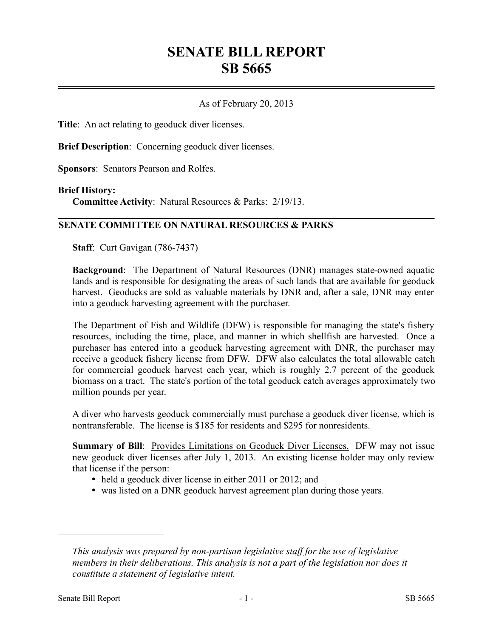# **SENATE BILL REPORT SB 5665**

## As of February 20, 2013

**Title**: An act relating to geoduck diver licenses.

**Brief Description**: Concerning geoduck diver licenses.

**Sponsors**: Senators Pearson and Rolfes.

#### **Brief History:**

**Committee Activity**: Natural Resources & Parks: 2/19/13.

## **SENATE COMMITTEE ON NATURAL RESOURCES & PARKS**

**Staff**: Curt Gavigan (786-7437)

**Background**: The Department of Natural Resources (DNR) manages state-owned aquatic lands and is responsible for designating the areas of such lands that are available for geoduck harvest. Geoducks are sold as valuable materials by DNR and, after a sale, DNR may enter into a geoduck harvesting agreement with the purchaser.

The Department of Fish and Wildlife (DFW) is responsible for managing the state's fishery resources, including the time, place, and manner in which shellfish are harvested. Once a purchaser has entered into a geoduck harvesting agreement with DNR, the purchaser may receive a geoduck fishery license from DFW. DFW also calculates the total allowable catch for commercial geoduck harvest each year, which is roughly 2.7 percent of the geoduck biomass on a tract. The state's portion of the total geoduck catch averages approximately two million pounds per year.

A diver who harvests geoduck commercially must purchase a geoduck diver license, which is nontransferable. The license is \$185 for residents and \$295 for nonresidents.

**Summary of Bill**: Provides Limitations on Geoduck Diver Licenses. DFW may not issue new geoduck diver licenses after July 1, 2013. An existing license holder may only review that license if the person:

- held a geoduck diver license in either 2011 or 2012; and
- was listed on a DNR geoduck harvest agreement plan during those years.

––––––––––––––––––––––

*This analysis was prepared by non-partisan legislative staff for the use of legislative members in their deliberations. This analysis is not a part of the legislation nor does it constitute a statement of legislative intent.*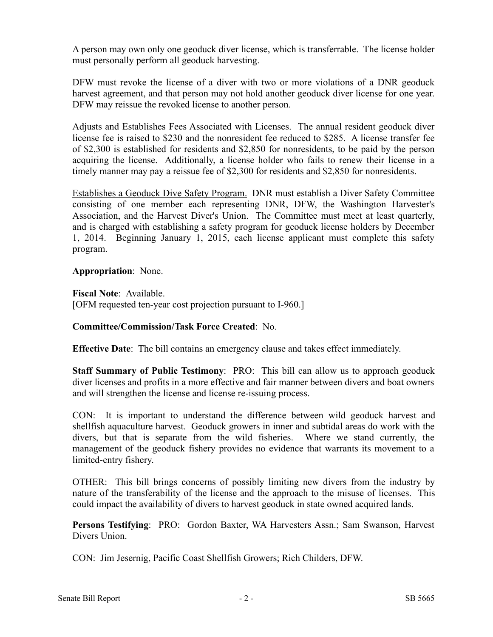A person may own only one geoduck diver license, which is transferrable. The license holder must personally perform all geoduck harvesting.

DFW must revoke the license of a diver with two or more violations of a DNR geoduck harvest agreement, and that person may not hold another geoduck diver license for one year. DFW may reissue the revoked license to another person.

Adjusts and Establishes Fees Associated with Licenses. The annual resident geoduck diver license fee is raised to \$230 and the nonresident fee reduced to \$285. A license transfer fee of \$2,300 is established for residents and \$2,850 for nonresidents, to be paid by the person acquiring the license. Additionally, a license holder who fails to renew their license in a timely manner may pay a reissue fee of \$2,300 for residents and \$2,850 for nonresidents.

Establishes a Geoduck Dive Safety Program. DNR must establish a Diver Safety Committee consisting of one member each representing DNR, DFW, the Washington Harvester's Association, and the Harvest Diver's Union. The Committee must meet at least quarterly, and is charged with establishing a safety program for geoduck license holders by December 1, 2014. Beginning January 1, 2015, each license applicant must complete this safety program.

**Appropriation**: None.

**Fiscal Note**: Available. [OFM requested ten-year cost projection pursuant to I-960.]

# **Committee/Commission/Task Force Created**: No.

**Effective Date**: The bill contains an emergency clause and takes effect immediately.

**Staff Summary of Public Testimony**: PRO: This bill can allow us to approach geoduck diver licenses and profits in a more effective and fair manner between divers and boat owners and will strengthen the license and license re-issuing process.

CON: It is important to understand the difference between wild geoduck harvest and shellfish aquaculture harvest. Geoduck growers in inner and subtidal areas do work with the divers, but that is separate from the wild fisheries. Where we stand currently, the management of the geoduck fishery provides no evidence that warrants its movement to a limited-entry fishery.

OTHER: This bill brings concerns of possibly limiting new divers from the industry by nature of the transferability of the license and the approach to the misuse of licenses. This could impact the availability of divers to harvest geoduck in state owned acquired lands.

**Persons Testifying**: PRO: Gordon Baxter, WA Harvesters Assn.; Sam Swanson, Harvest Divers Union.

CON: Jim Jesernig, Pacific Coast Shellfish Growers; Rich Childers, DFW.